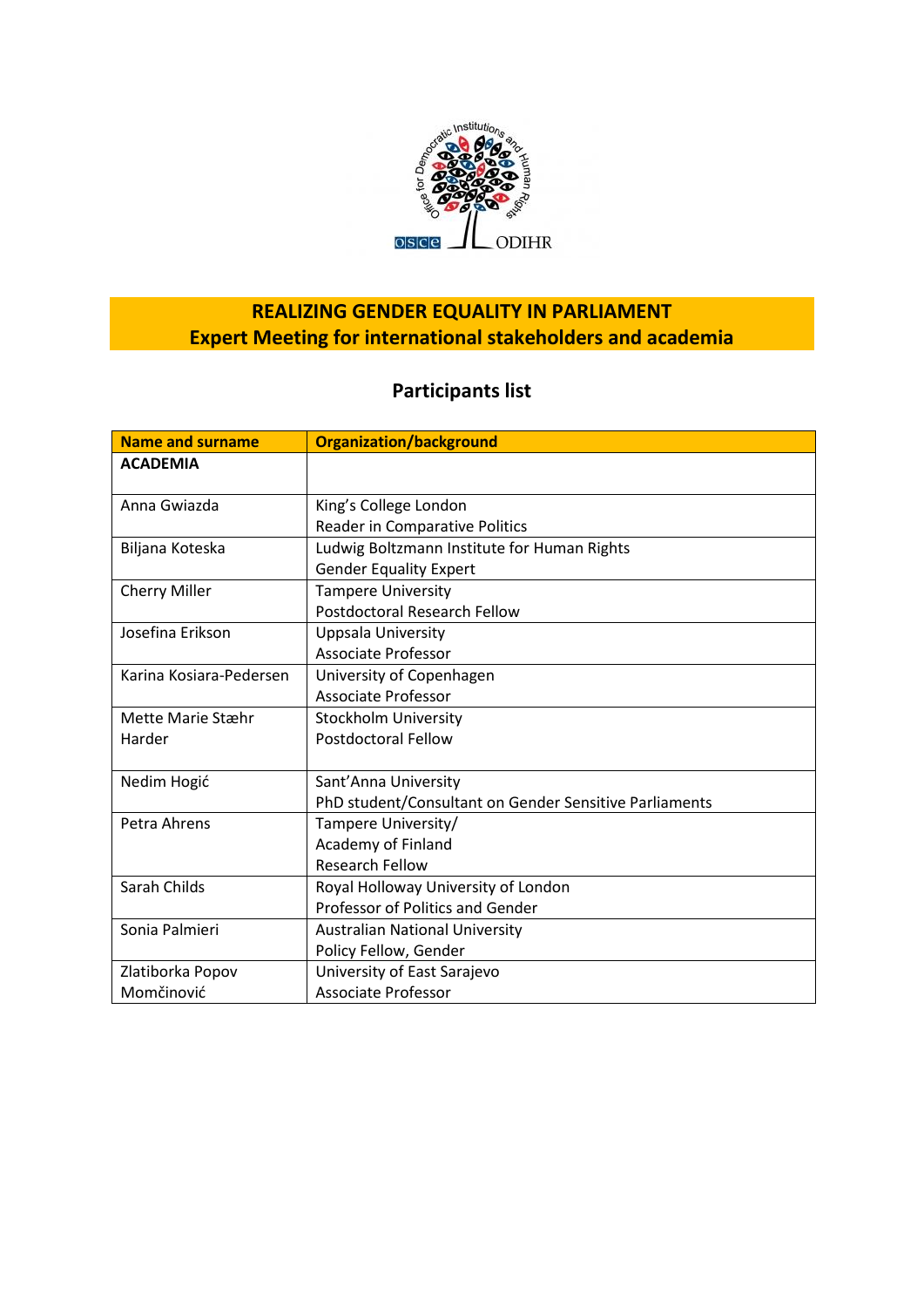

## **REALIZING GENDER EQUALITY IN PARLIAMENT Expert Meeting for international stakeholders and academia**

## **Participants list**

| <b>Name and surname</b> | <b>Organization/background</b>                         |
|-------------------------|--------------------------------------------------------|
| <b>ACADEMIA</b>         |                                                        |
|                         |                                                        |
| Anna Gwiazda            | King's College London                                  |
|                         | Reader in Comparative Politics                         |
| Biljana Koteska         | Ludwig Boltzmann Institute for Human Rights            |
|                         | <b>Gender Equality Expert</b>                          |
| <b>Cherry Miller</b>    | <b>Tampere University</b>                              |
|                         | Postdoctoral Research Fellow                           |
| Josefina Erikson        | <b>Uppsala University</b>                              |
|                         | <b>Associate Professor</b>                             |
| Karina Kosiara-Pedersen | University of Copenhagen                               |
|                         | <b>Associate Professor</b>                             |
| Mette Marie Stæhr       | <b>Stockholm University</b>                            |
| Harder                  | <b>Postdoctoral Fellow</b>                             |
|                         |                                                        |
| Nedim Hogić             | Sant'Anna University                                   |
|                         | PhD student/Consultant on Gender Sensitive Parliaments |
| Petra Ahrens            | Tampere University/                                    |
|                         | Academy of Finland                                     |
|                         | <b>Research Fellow</b>                                 |
| Sarah Childs            | Royal Holloway University of London                    |
|                         | Professor of Politics and Gender                       |
| Sonia Palmieri          | <b>Australian National University</b>                  |
|                         | Policy Fellow, Gender                                  |
| Zlatiborka Popov        | University of East Sarajevo                            |
| Momčinović              | <b>Associate Professor</b>                             |